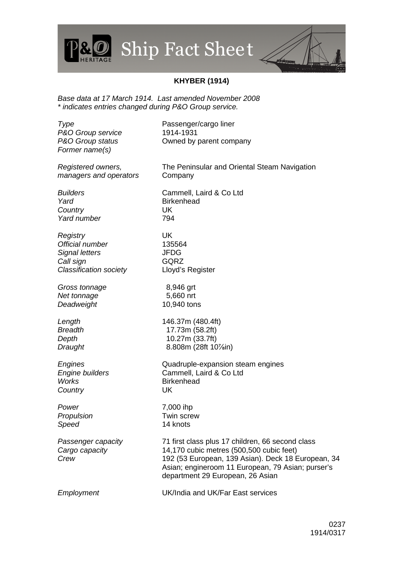## Ship Fact Shee t

## **KHYBER (1914)**

Base data at 17 March 1914. Last amended November 2008 \* indicates entries changed during P&O Group service.

Type Passenger/cargo liner P&O Group service 1914-1931 P&O Group status **Company** Owned by parent company Former name(s) Registered owners, managers and operators The Peninsular and Oriental Steam Navigation Company Builders Cammell, Laird & Co Ltd Yard Birkenhead Country UK Yard number 794 Registry UK Official number 135564 Signal letters **JFDG** Call sign GQRZ Classification society Lloyd's Register Gross tonnage 8,946 grt Net tonnage 5,660 nrt Deadweight 10,940 tons Length 146.37m (480.4ft) Breadth 17.73m (58.2ft) Depth 10.27m (33.7ft) Draught 8.808m (28ft 10<sup>7</sup>/<sub>sin</sub>) Engines Quadruple-expansion steam engines Engine builders Cammell, Laird & Co Ltd Works **Birkenhead** Country UK Power 7,000 ihp Propulsion **Twin screw** Speed 14 knots Passenger capacity 71 first class plus 17 children, 66 second class Cargo capacity 14,170 cubic metres (500,500 cubic feet) Crew 192 (53 European, 139 Asian). Deck 18 European, 34 Asian; engineroom 11 European, 79 Asian; purser's department 29 European, 26 Asian Employment UK/India and UK/Far East services